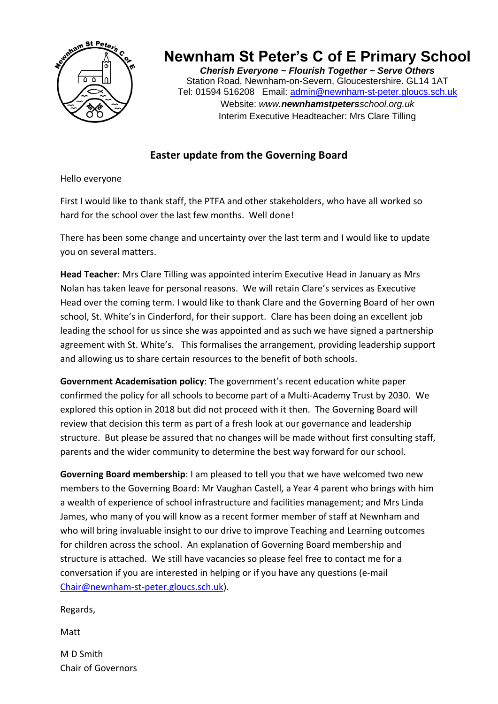

## **Newnham St Peter's C of E Primary School**

*Cherish Everyone ~ Flourish Together ~ Serve Others* Station Road, Newnham-on-Severn, Gloucestershire. GL14 1AT Tel: 01594 516208 Email: [admin@newnham-st-peter.gloucs.sch.uk](mailto:admin@newnham-st-peter.gloucs.sch.uk) Website: *www.newnhamstpetersschool.org.uk* Interim Executive Headteacher: Mrs Clare Tilling

## **Easter update from the Governing Board**

Hello everyone

First I would like to thank staff, the PTFA and other stakeholders, who have all worked so hard for the school over the last few months. Well done!

There has been some change and uncertainty over the last term and I would like to update you on several matters.

**Head Teacher**: Mrs Clare Tilling was appointed interim Executive Head in January as Mrs Nolan has taken leave for personal reasons. We will retain Clare's services as Executive Head over the coming term. I would like to thank Clare and the Governing Board of her own school, St. White's in Cinderford, for their support. Clare has been doing an excellent job leading the school for us since she was appointed and as such we have signed a partnership agreement with St. White's. This formalises the arrangement, providing leadership support and allowing us to share certain resources to the benefit of both schools.

**Government Academisation policy**: The government's recent education white paper confirmed the policy for all schools to become part of a Multi-Academy Trust by 2030. We explored this option in 2018 but did not proceed with it then. The Governing Board will review that decision this term as part of a fresh look at our governance and leadership structure. But please be assured that no changes will be made without first consulting staff, parents and the wider community to determine the best way forward for our school.

**Governing Board membership**: I am pleased to tell you that we have welcomed two new members to the Governing Board: Mr Vaughan Castell, a Year 4 parent who brings with him a wealth of experience of school infrastructure and facilities management; and Mrs Linda James, who many of you will know as a recent former member of staff at Newnham and who will bring invaluable insight to our drive to improve Teaching and Learning outcomes for children across the school. An explanation of Governing Board membership and structure is attached. We still have vacancies so please feel free to contact me for a conversation if you are interested in helping or if you have any questions (e-mail [Chair@newnham-st-peter.gloucs.sch.uk\)](mailto:Chair@newnham-st-peter.gloucs.sch.uk).

Regards,

Matt

M D Smith Chair of Governors